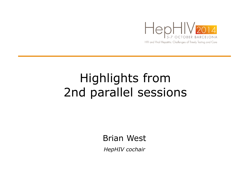

## Highlights from 2nd parallel sessions

Brian West

*HepHIV cochair*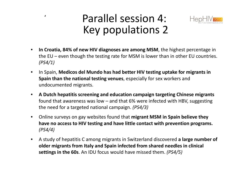## Parallel session 4: Key populations 2

**'**



- • **In Croatia, 84% of new HIV diagnoses are among MSM**, the highest percentage in the EU – even though the testing rate for MSM is lower than in other EU countries. *(PS4/1)*
- $\bullet$ In Spain, Medicos del Mundo has had better HIV testing uptake for migrants in **Spain than the national testing venues**, especially for sex workers and undocumented migrants.
- $\bullet$  **A Dutch hepatitis screening and education campaign targeting Chinese migrants** found that awareness was low – and that 6% were infected with HBV, suggesting the need for a targeted national campaign. *(PS4/3)*
- $\bullet$  Online surveys on gay websites found that **migrant MSM in Spain believe they have no access to HIV testing and have little contact with prevention programs.***(PS4/4)*
- $\bullet$  A study of hepatitis C among migrants in Switzerland discovered **a large number of older migrants from Italy and Spain infected from shared needles in clinical settings in the 60s**. An IDU focus would have missed them. *(PS4/5)*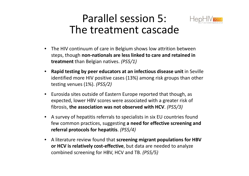## Parallel session 5: The treatment cascade



- The HIV continuum of care in Belgium shows low attrition between steps, though **non-nationals are less linked to care and retained in treatment** than Belgian natives. *(PS5/1)*
- $\bullet$  **Rapid testing by peer educators at an infectious disease unit** in Seville identified more HIV positive cases (13%) among risk groups than other testing venues (1%). *(PS5/2)*
- $\bullet$  Eurosida sites outside of Eastern Europe reported that though, as expected, lower HBV scores were associated with a greater risk of fibrosis, **the association was not observed with HCV**. *(PS5/3)*
- A survey of hepatitis referrals to specialists in six EU countries found few common practices, suggesting **a need for effective screening and referral protocols for hepatitis**. *(PS5/4)*
- A literature review found that **screening migrant populations for HBV or HCV is relatively cost-effective**, but data are needed to analyzecombined screening for HBV, HCV and TB. *(PS5/5)*